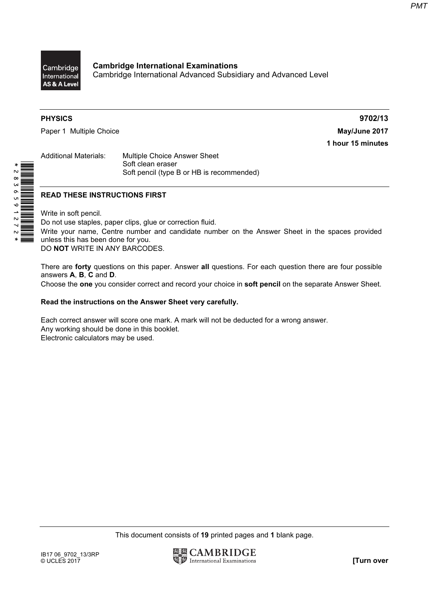

Cambridge International Examinations Cambridge International Advanced Subsidiary and Advanced Level

\* 2 8 3 6 5 9 5 8 7<br>|**|| || || || || || || ||** || || || ||

Paper 1 Multiple Choice **May/June 2017** 

PHYSICS 9702/13 1 hour 15 minutes

Additional Materials: Multiple Choice Answer Sheet Soft clean eraser Soft pencil (type B or HB is recommended)

## READ THESE INSTRUCTIONS FIRST

Write in soft pencil.

Do not use staples, paper clips, glue or correction fluid. Write your name, Centre number and candidate number on the Answer Sheet in the spaces provided unless this has been done for you. DO NOT WRITE IN ANY BARCODES.

There are **forty** questions on this paper. Answer all questions. For each question there are four possible answers A, B, C and D.

Choose the one you consider correct and record your choice in soft pencil on the separate Answer Sheet.

#### Read the instructions on the Answer Sheet very carefully.

Each correct answer will score one mark. A mark will not be deducted for a wrong answer. Any working should be done in this booklet. Electronic calculators may be used.

This document consists of 19 printed pages and 1 blank page.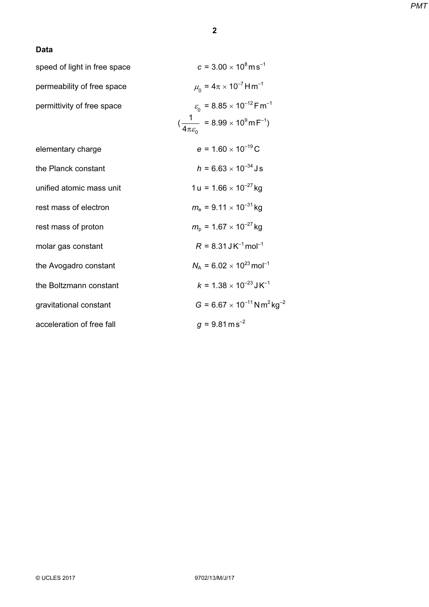#### Data

| speed of light in free space | $c = 3.00 \times 10^8 \,\mathrm{m\,s}^{-1}$                                  |
|------------------------------|------------------------------------------------------------------------------|
| permeability of free space   | $\mu_{0} = 4\pi \times 10^{-7}$ H m <sup>-1</sup>                            |
| permittivity of free space   | $\varepsilon_{0}$ = 8.85 × 10 <sup>-12</sup> F m <sup>-1</sup>               |
|                              | $(\frac{1}{4\pi \varepsilon_0}$ = 8.99 × 10 <sup>9</sup> m F <sup>-1</sup> ) |
| elementary charge            | $e = 1.60 \times 10^{-19}$ C                                                 |
| the Planck constant          | $h = 6.63 \times 10^{-34}$ J s                                               |
| unified atomic mass unit     | $1 u = 1.66 \times 10^{-27}$ kg                                              |
| rest mass of electron        | $m_e = 9.11 \times 10^{-31}$ kg                                              |
| rest mass of proton          | $m_{\rm p}$ = 1.67 $\times$ 10 <sup>-27</sup> kg                             |
| molar gas constant           | $R = 8.31$ J K <sup>-1</sup> mol <sup>-1</sup>                               |
| the Avogadro constant        | $N_A = 6.02 \times 10^{23}$ mol <sup>-1</sup>                                |
| the Boltzmann constant       | $k = 1.38 \times 10^{-23}$ J K <sup>-1</sup>                                 |
| gravitational constant       | $G = 6.67 \times 10^{-11}$ N m <sup>2</sup> kg <sup>-2</sup>                 |
| acceleration of free fall    | $g = 9.81 \text{ m s}^{-2}$                                                  |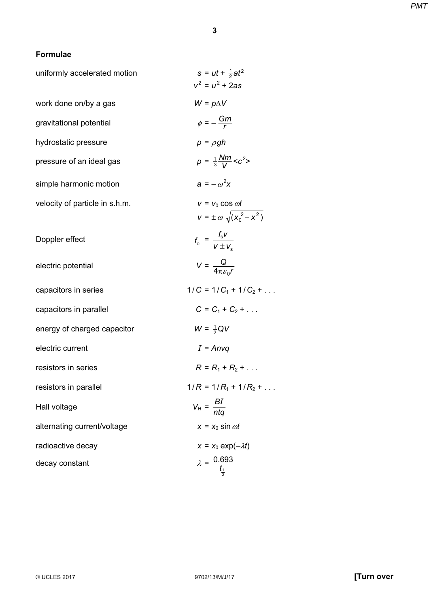# Formulae

| $s = ut + \frac{1}{2}at^2$<br>$v^2 = u^2 + 2as$                  |
|------------------------------------------------------------------|
| $W = p\Delta V$                                                  |
| $\phi = -\frac{Gm}{r}$                                           |
| $p = \rho gh$                                                    |
| $p = \frac{1}{3} \frac{Nm}{V} < c^2$                             |
| $a = -\omega^2 x$                                                |
| $v = v_0 \cos \omega t$<br>$v = \pm \omega \sqrt{(x_0^2 - x^2)}$ |
| $f_{o} = \frac{f_{s}V}{V \pm V_{s}}$                             |
| $V = \frac{Q}{4\pi \varepsilon_{\rm s}r}$                        |
| $1/C = 1/C_1 + 1/C_2 + \ldots$                                   |
| $C = C_1 + C_2 + $                                               |
| $W = \frac{1}{2}QV$                                              |
| $I = Anvq$                                                       |
| $R = R_1 + R_2 + $                                               |
| $1/R = 1/R_1 + 1/R_2 + $                                         |
| $V_{\rm H} = \frac{BI}{nta}$                                     |
| $x = x_0 \sin \omega t$                                          |
| $x = x_0 \exp(-\lambda t)$                                       |
| $\lambda = \frac{0.693}{t_1}$                                    |
|                                                                  |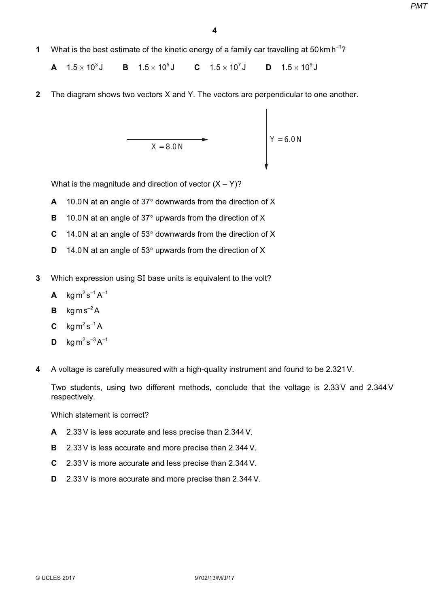1 What is the best estimate of the kinetic energy of a family car travelling at 50 km h<sup>-1</sup>?

**A**  $1.5 \times 10^3$ **J B**  $1.5 \times 10^5$ **J C**  $1.5 \times 10^7$ **J D**  $1.5 \times 10^9$ **J** 

2 The diagram shows two vectors X and Y. The vectors are perpendicular to one another.

$$
X = 8.0 N
$$

What is the magnitude and direction of vector  $(X - Y)$ ?

- A 10.0 N at an angle of 37° downwards from the direction of X
- B 10.0 N at an angle of 37° upwards from the direction of X
- C 14.0 N at an angle of 53 $\degree$  downwards from the direction of X
- D 14.0 N at an angle of 53° upwards from the direction of X
- 3 Which expression using S*I* base units is equivalent to the volt?
	- **A** kgm<sup>2</sup>s<sup>-1</sup>A<sup>-1</sup>
	- **B** kgms<sup> $-2$ </sup>A
	- $C$  kg m<sup>2</sup> s<sup>-1</sup> A
	- **D**  $\text{ka m}^2 \text{ s}^{-3} \text{A}^{-1}$
- 4 A voltage is carefully measured with a high-quality instrument and found to be 2.321V.

Two students, using two different methods, conclude that the voltage is 2.33V and 2.344V respectively.

Which statement is correct?

- A 2.33V is less accurate and less precise than 2.344V.
- B 2.33 V is less accurate and more precise than 2.344 V.
- C 2.33V is more accurate and less precise than 2.344V.
- D 2.33V is more accurate and more precise than 2.344V.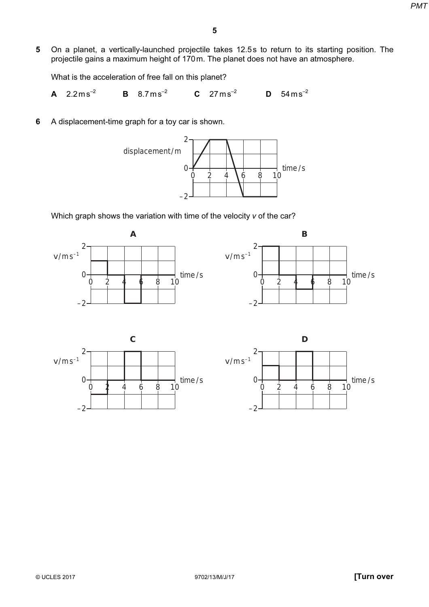5 On a planet, a vertically-launched projectile takes 12.5s to return to its starting position. The projectile gains a maximum height of 170m. The planet does not have an atmosphere.

What is the acceleration of free fall on this planet?

**A** 2.2ms<sup>-2</sup> **B** 8.7ms<sup>-2</sup> **C** 27ms<sup>-2</sup> **D**  $54 \text{ ms}^{-2}$ 

6 A displacement-time graph for a toy car is shown.



Which graph shows the variation with time of the velocity v of the car?





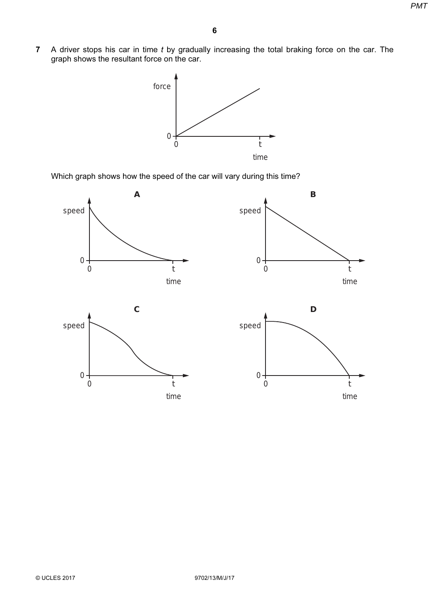7 A driver stops his car in time  $t$  by gradually increasing the total braking force on the car. The graph shows the resultant force on the car.



Which graph shows how the speed of the car will vary during this time?

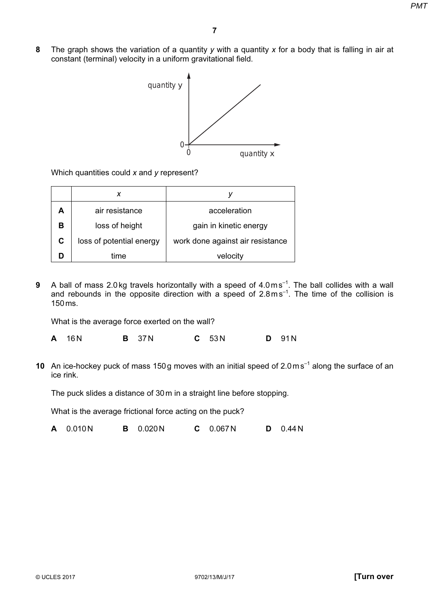8 The graph shows the variation of a quantity y with a quantity x for a body that is falling in air at constant (terminal) velocity in a uniform gravitational field.



Which quantities could x and y represent?

| А | air resistance           | acceleration                     |  |
|---|--------------------------|----------------------------------|--|
| в | loss of height           | gain in kinetic energy           |  |
| C | loss of potential energy | work done against air resistance |  |
|   | time                     | velocity                         |  |

9 A ball of mass 2.0 kg travels horizontally with a speed of  $4.0\,\text{m}\,\text{s}^{-1}$ . The ball collides with a wall and rebounds in the opposite direction with a speed of  $2.8 \text{ms}^{-1}$ . The time of the collision is 150ms.

What is the average force exerted on the wall?

A 16N B 37N C 53N D 91N

10 An ice-hockey puck of mass 150g moves with an initial speed of  $2.0 \text{ m s}^{-1}$  along the surface of an ice rink.

The puck slides a distance of 30m in a straight line before stopping.

What is the average frictional force acting on the puck?

A 0.010N B 0.020N C 0.067N D 0.44N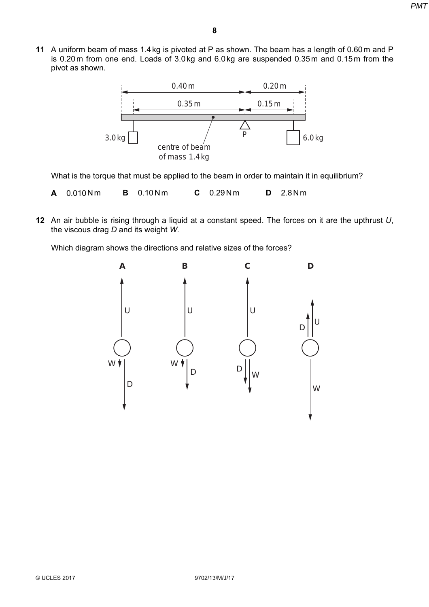11 A uniform beam of mass 1.4 kg is pivoted at P as shown. The beam has a length of 0.60 m and P is 0.20m from one end. Loads of 3.0kg and 6.0kg are suspended 0.35m and 0.15m from the pivot as shown.



What is the torque that must be applied to the beam in order to maintain it in equilibrium?

- **A** 0.010Nm **B** 0.10Nm **C** 0.29Nm **D** 2.8Nm
- 12 An air bubble is rising through a liquid at a constant speed. The forces on it are the upthrust  $U$ , the viscous drag D and its weight W.

Which diagram shows the directions and relative sizes of the forces?

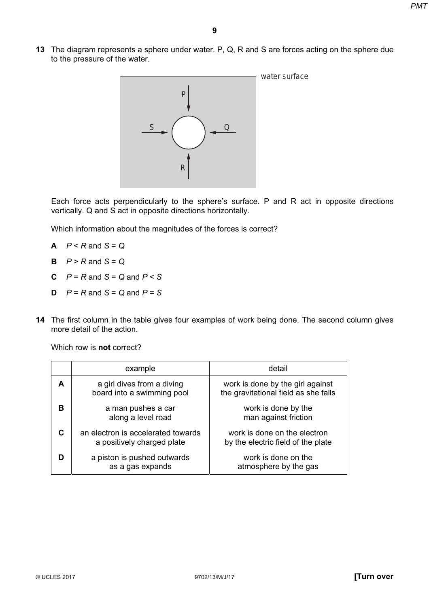13 The diagram represents a sphere under water. P, Q, R and S are forces acting on the sphere due to the pressure of the water.



Each force acts perpendicularly to the sphere's surface. P and R act in opposite directions vertically. Q and S act in opposite directions horizontally.

Which information about the magnitudes of the forces is correct?

- $A$   $P < R$  and  $S = Q$
- $B$   $P > R$  and  $S = Q$
- **C**  $P = R$  and  $S = Q$  and  $P \leq S$
- **D**  $P = R$  and  $S = Q$  and  $P = S$
- 14 The first column in the table gives four examples of work being done. The second column gives more detail of the action.

Which row is **not** correct?

|   | example                                                          | detail                                                                   |  |
|---|------------------------------------------------------------------|--------------------------------------------------------------------------|--|
| A | a girl dives from a diving<br>board into a swimming pool         | work is done by the girl against<br>the gravitational field as she falls |  |
| в | a man pushes a car<br>along a level road                         | work is done by the<br>man against friction                              |  |
| С | an electron is accelerated towards<br>a positively charged plate | work is done on the electron<br>by the electric field of the plate       |  |
|   | a piston is pushed outwards<br>as a gas expands                  | work is done on the<br>atmosphere by the gas                             |  |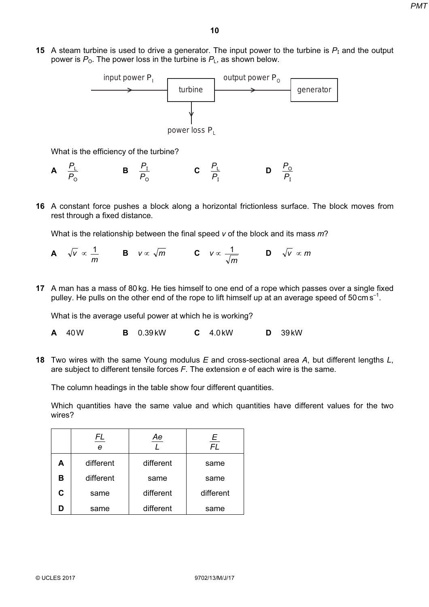15 A steam turbine is used to drive a generator. The input power to the turbine is P*I* and the output power is  $P_0$ . The power loss in the turbine is  $P_L$ , as shown below.



What is the efficiency of the turbine?

- A O L  $\overline{P}$  $\frac{P_{\perp}}{P_{\parallel}}$  B  $\overline{P_{\rm O}}$  $\frac{P_1}{P_2}$  C  $\overline{P}_{\mathrm{I}}$  $\frac{P_{\perp}}{P_{\perp}}$  D  $\overline{P_{\rm I}}$  $P_{\rm O}$
- 16 A constant force pushes a block along a horizontal frictionless surface. The block moves from rest through a fixed distance.

What is the relationship between the final speed  $v$  of the block and its mass  $m$ ?

- **A**  $\sqrt{v} \propto \frac{1}{m}$  **B**  $v \propto \sqrt{m}$  **C**  $v \propto \frac{1}{\sqrt{m}}$  **D**  $\sqrt{v} \propto m$
- 17 A man has a mass of 80 kg. He ties himself to one end of a rope which passes over a single fixed pulley. He pulls on the other end of the rope to lift himself up at an average speed of  $50 \text{ cm s}^{-1}$ .

What is the average useful power at which he is working?

- A 40W B 0.39kW C 4.0kW D 39kW
- 18 Two wires with the same Young modulus  $E$  and cross-sectional area  $A$ , but different lengths  $L$ , are subject to different tensile forces  $F$ . The extension  $e$  of each wire is the same.

The column headings in the table show four different quantities.

Which quantities have the same value and which quantities have different values for the two wires?

|   | FL<br>е   | Ae        | E<br><b>FL</b> |
|---|-----------|-----------|----------------|
| А | different | different | same           |
| в | different | same      | same           |
| C | same      | different | different      |
| D | same      | different | same           |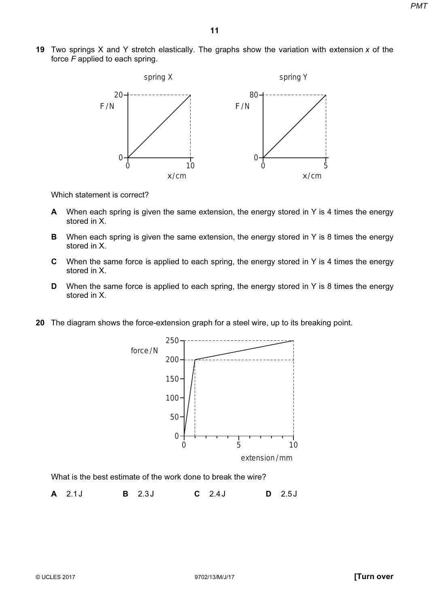19 Two springs X and Y stretch elastically. The graphs show the variation with extension x of the force F applied to each spring.



Which statement is correct?

- A When each spring is given the same extension, the energy stored in Y is 4 times the energy stored in X.
- B When each spring is given the same extension, the energy stored in Y is 8 times the energy stored in X.
- C When the same force is applied to each spring, the energy stored in Y is 4 times the energy stored in X.
- D When the same force is applied to each spring, the energy stored in Y is 8 times the energy stored in X.
- 20 The diagram shows the force-extension graph for a steel wire, up to its breaking point.



What is the best estimate of the work done to break the wire?

A 2.1J B 2.3J C 2.4J D 2.5J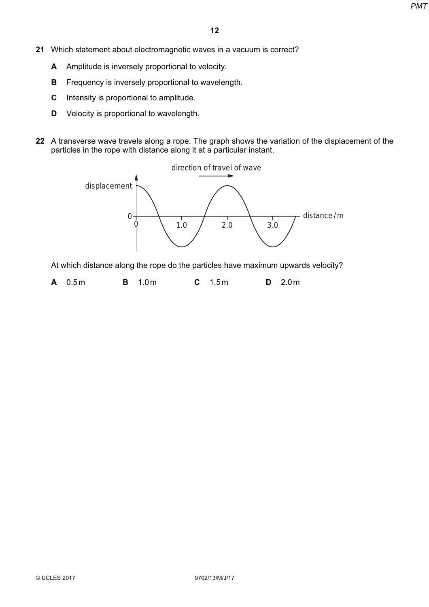- 21 Which statement about electromagnetic waves in a vacuum is correct?
	- A Amplitude is inversely proportional to velocity.
	- **B** Frequency is inversely proportional to wavelength.
	- C Intensity is proportional to amplitude.
	- **D** Velocity is proportional to wavelength.
- 22 A transverse wave travels along a rope. The graph shows the variation of the displacement of the particles in the rope with distance along it at a particular instant.



At which distance along the rope do the particles have maximum upwards velocity?

**A** 0.5m **B** 1.0m **C** 1.5m **D** 2.0m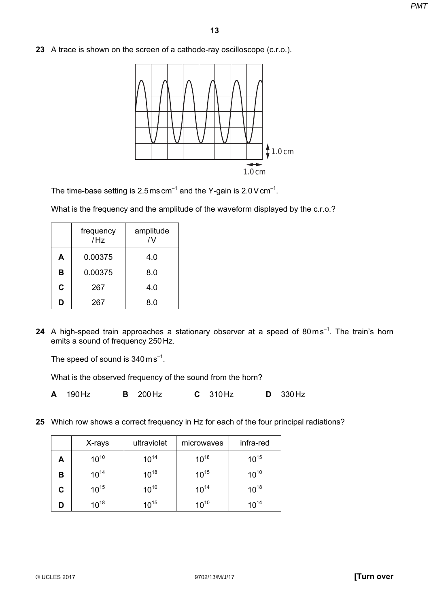23 A trace is shown on the screen of a cathode-ray oscilloscope (c.r.o.).



The time-base setting is  $2.5$  ms cm<sup>-1</sup> and the Y-gain is  $2.0$  V cm<sup>-1</sup>.

What is the frequency and the amplitude of the waveform displayed by the c.r.o.?

|   | frequency<br>/Hz | amplitude<br>$\overline{N}$ |  |
|---|------------------|-----------------------------|--|
| A | 0.00375          | 4.0                         |  |
| в | 0.00375          | 8.0                         |  |
| C | 267              | 4.0                         |  |
| D | 267              | 8.0                         |  |

24 A high-speed train approaches a stationary observer at a speed of  $80\,\mathrm{m\,s}^{-1}$ . The train's horn emits a sound of frequency 250Hz.

The speed of sound is  $340 \text{ m s}^{-1}$ .

What is the observed frequency of the sound from the horn?

A 190Hz B 200Hz C 310Hz D 330Hz

25 Which row shows a correct frequency in Hz for each of the four principal radiations?

|   | X-rays    | ultraviolet | microwaves | infra-red |
|---|-----------|-------------|------------|-----------|
| Α | $10^{10}$ | $10^{14}$   | $10^{18}$  | $10^{15}$ |
| в | $10^{14}$ | $10^{18}$   | $10^{15}$  | $10^{10}$ |
| С | $10^{15}$ | $10^{10}$   | $10^{14}$  | $10^{18}$ |
| D | $10^{18}$ | $10^{15}$   | $10^{10}$  | $10^{14}$ |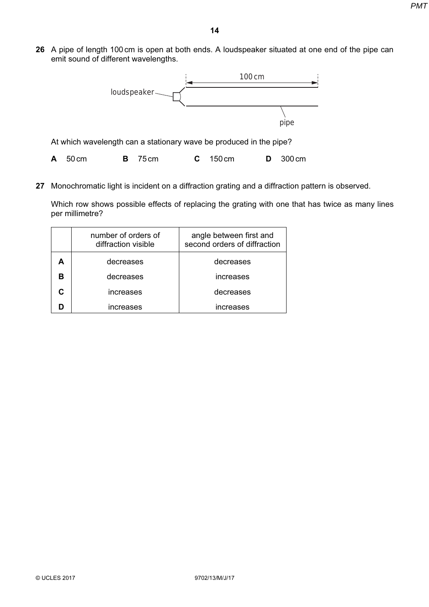26 A pipe of length 100cm is open at both ends. A loudspeaker situated at one end of the pipe can emit sound of different wavelengths.



A 50cm B 75cm C 150cm D 300cm

27 Monochromatic light is incident on a diffraction grating and a diffraction pattern is observed.

Which row shows possible effects of replacing the grating with one that has twice as many lines per millimetre?

| number of orders of<br>diffraction visible | angle between first and<br>second orders of diffraction |  |
|--------------------------------------------|---------------------------------------------------------|--|
| decreases                                  | decreases                                               |  |
| decreases                                  | increases                                               |  |
| increases                                  | decreases                                               |  |
| increases                                  | increases                                               |  |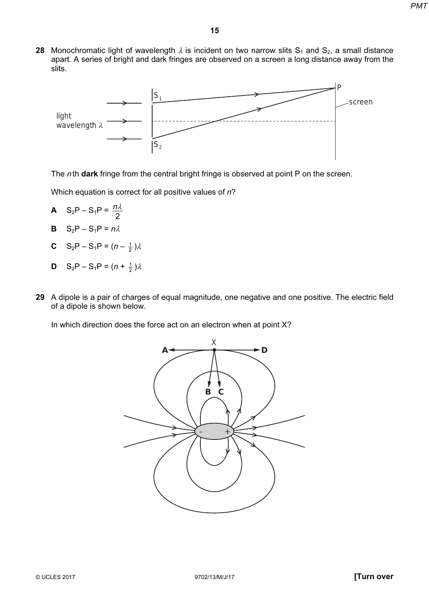28 Monochromatic light of wavelength  $\lambda$  is incident on two narrow slits S<sub>1</sub> and S<sub>2</sub>, a small distance apart. A series of bright and dark fringes are observed on a screen a long distance away from the slits.



The nth dark fringe from the central bright fringe is observed at point P on the screen.

Which equation is correct for all positive values of n?

- A  $S_2P S_1P = \frac{12}{2}$ *n*λ
- **B**  $S_2P S_1P = n\lambda$
- **C** S<sub>2</sub>P S<sub>1</sub>P =  $(n \frac{1}{2})\lambda$
- **D** S<sub>2</sub>P S<sub>1</sub>P =  $(n + \frac{1}{2})\lambda$
- 29 A dipole is a pair of charges of equal magnitude, one negative and one positive. The electric field of a dipole is shown below.

In which direction does the force act on an electron when at point X?

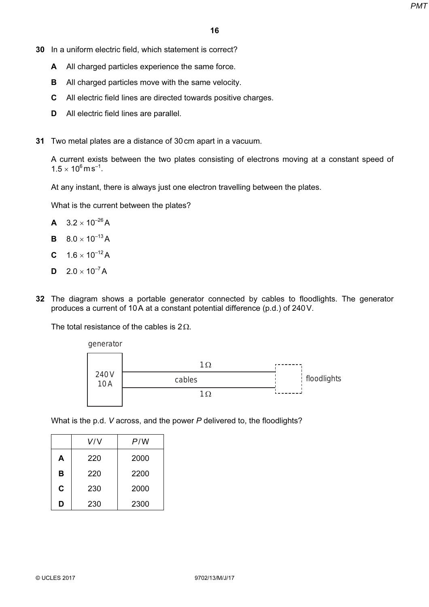- 30 In a uniform electric field, which statement is correct?
	- A All charged particles experience the same force.
	- **B** All charged particles move with the same velocity.
	- C All electric field lines are directed towards positive charges.
	- D All electric field lines are parallel.
- 31 Two metal plates are a distance of 30cm apart in a vacuum.

A current exists between the two plates consisting of electrons moving at a constant speed of  $1.5 \times 10^6$  m s<sup>-1</sup>.

At any instant, there is always just one electron travelling between the plates.

What is the current between the plates?

- $A \quad 3.2 \times 10^{-26} A$
- **B**  $8.0 \times 10^{-13}$  A
- **C**  $1.6 \times 10^{-12}$  A
- $D \quad 2.0 \times 10^{-7} A$
- 32 The diagram shows a portable generator connected by cables to floodlights. The generator produces a current of 10A at a constant potential difference (p.d.) of 240V.

The total resistance of the cables is  $2\Omega$ .



What is the p.d. V across, and the power P delivered to, the floodlights?

|          | V/V | P/W  |
|----------|-----|------|
| 220<br>A |     | 2000 |
| B        | 220 | 2200 |
| C        | 230 | 2000 |
| D        | 230 | 2300 |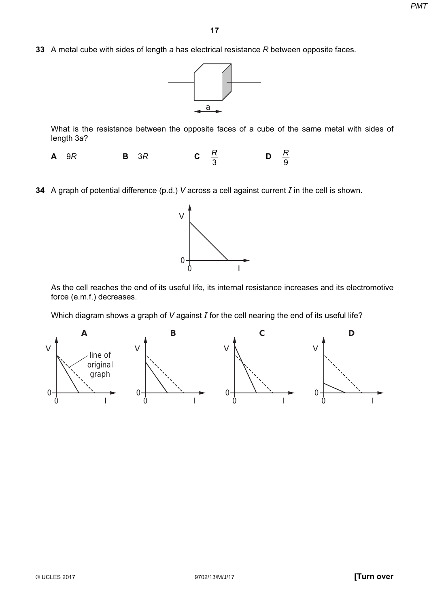33 A metal cube with sides of length a has electrical resistance  $R$  between opposite faces.



What is the resistance between the opposite faces of a cube of the same metal with sides of length 3a?

**A** 9R **B** 3R **C**  $\frac{R}{3}$  D 9 R

34 A graph of potential difference (p.d.) V across a cell against current  $I$  in the cell is shown.



As the cell reaches the end of its useful life, its internal resistance increases and its electromotive force (e.m.f.) decreases.

Which diagram shows a graph of  $V$  against  $I$  for the cell nearing the end of its useful life?

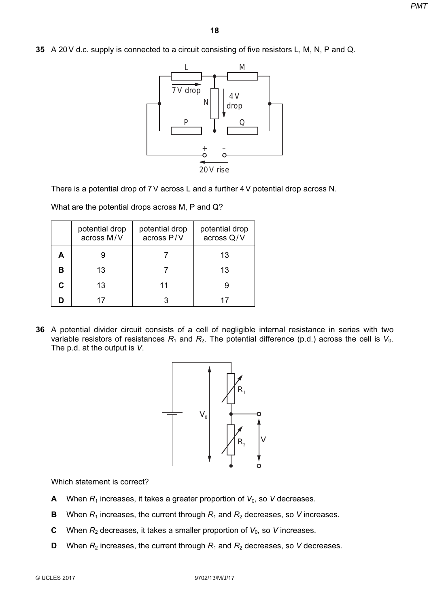35 A 20 V d.c. supply is connected to a circuit consisting of five resistors L, M, N, P and Q.



There is a potential drop of 7V across L and a further 4V potential drop across N.

What are the potential drops across M, P and Q?

|    | potential drop<br>across M/V | potential drop<br>across P/V | potential drop<br>across Q/V |
|----|------------------------------|------------------------------|------------------------------|
|    |                              |                              | 13                           |
| в  | 13                           |                              | 13                           |
| C. | 13                           | 11                           |                              |
|    | 17                           |                              |                              |

36 A potential divider circuit consists of a cell of negligible internal resistance in series with two variable resistors of resistances  $R_1$  and  $R_2$ . The potential difference (p.d.) across the cell is  $V_0$ . The p.d. at the output is V.



Which statement is correct?

- A When  $R_1$  increases, it takes a greater proportion of  $V_0$ , so V decreases.
- **B** When  $R_1$  increases, the current through  $R_1$  and  $R_2$  decreases, so V increases.
- **C** When  $R_2$  decreases, it takes a smaller proportion of  $V_0$ , so V increases.
- **D** When  $R_2$  increases, the current through  $R_1$  and  $R_2$  decreases, so V decreases.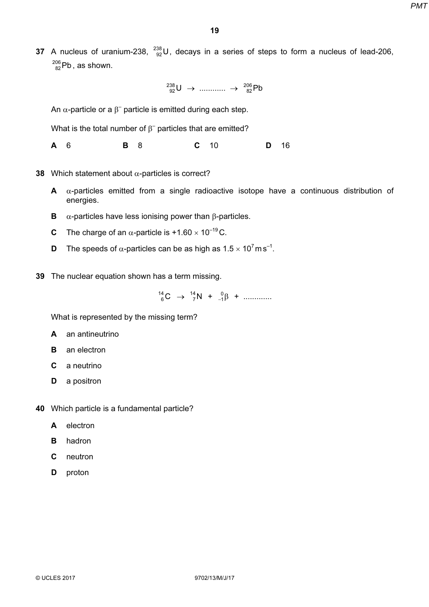37 A nucleus of uranium-238,  $^{238}_{92}$ U, decays in a series of steps to form a nucleus of lead-206,  $^{206}_{82}$ Pb , as shown.

 $^{238}_{92}$ U → ............ →  $^{206}_{82}$ Pb

An  $\alpha$ -particle or a  $\beta^-$  particle is emitted during each step.

What is the total number of  $\beta^-$  particles that are emitted?

**A** 6 **B** 8 **C** 10 **D** 16

- 38 Which statement about  $\alpha$ -particles is correct?
	- $A$   $\alpha$ -particles emitted from a single radioactive isotope have a continuous distribution of energies.
	- **B**  $\alpha$ -particles have less ionising power than β-particles.
	- **C** The charge of an  $\alpha$ -particle is +1.60  $\times$  10<sup>-19</sup> C.
	- **D** The speeds of  $\alpha$ -particles can be as high as  $1.5 \times 10^7$  ms<sup>-1</sup>.
- 39 The nuclear equation shown has a term missing.

 $^{14}_{6}$ C →  $^{14}_{7}$ N +  $^{0}_{-1}$ β + .............

What is represented by the missing term?

- A an antineutrino
- **B** an electron
- C a neutrino
- **D** a positron
- 40 Which particle is a fundamental particle?
	- A electron
	- B hadron
	- C neutron
	- D proton